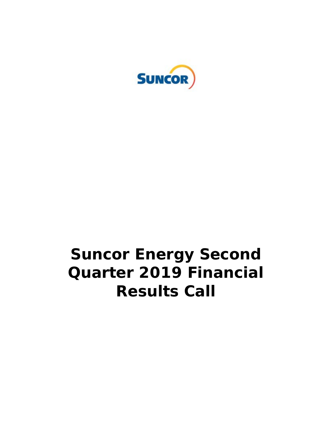

# **Suncor Energy Second Quarter 2019 Financial Results Call**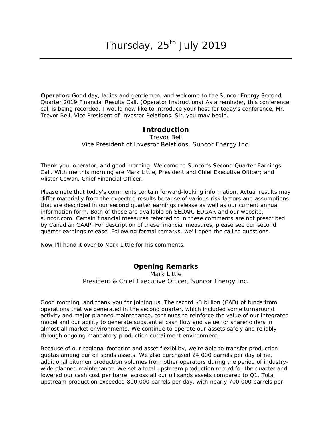**Operator:** Good day, ladies and gentlemen, and welcome to the Suncor Energy Second Quarter 2019 Financial Results Call. (Operator Instructions) As a reminder, this conference call is being recorded. I would now like to introduce your host for today's conference, Mr. Trevor Bell, Vice President of Investor Relations. Sir, you may begin.

#### **Introduction**

Trevor Bell *Vice President of Investor Relations, Suncor Energy Inc.*

Thank you, operator, and good morning. Welcome to Suncor's Second Quarter Earnings Call. With me this morning are Mark Little, President and Chief Executive Officer; and Alister Cowan, Chief Financial Officer.

Please note that today's comments contain forward-looking information. Actual results may differ materially from the expected results because of various risk factors and assumptions that are described in our second quarter earnings release as well as our current annual information form. Both of these are available on SEDAR, EDGAR and our website, suncor.com. Certain financial measures referred to in these comments are not prescribed by Canadian GAAP. For description of these financial measures, please see our second quarter earnings release. Following formal remarks, we'll open the call to questions.

Now I'll hand it over to Mark Little for his comments.

## **Opening Remarks**

Mark Little *President & Chief Executive Officer, Suncor Energy Inc.*

Good morning, and thank you for joining us. The record \$3 billion (CAD) of funds from operations that we generated in the second quarter, which included some turnaround activity and major planned maintenance, continues to reinforce the value of our integrated model and our ability to generate substantial cash flow and value for shareholders in almost all market environments. We continue to operate our assets safely and reliably through ongoing mandatory production curtailment environment.

Because of our regional footprint and asset flexibility, we're able to transfer production quotas among our oil sands assets. We also purchased 24,000 barrels per day of net additional bitumen production volumes from other operators during the period of industrywide planned maintenance. We set a total upstream production record for the quarter and lowered our cash cost per barrel across all our oil sands assets compared to Q1. Total upstream production exceeded 800,000 barrels per day, with nearly 700,000 barrels per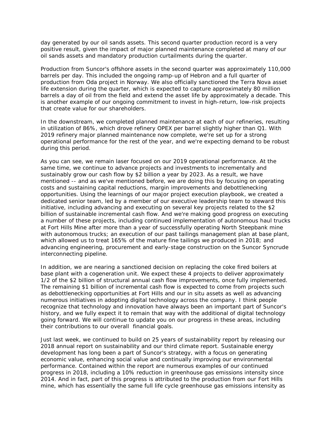day generated by our oil sands assets. This second quarter production record is a very positive result, given the impact of major planned maintenance completed at many of our oil sands assets and mandatory production curtailments during the quarter.

Production from Suncor's offshore assets in the second quarter was approximately 110,000 barrels per day. This included the ongoing ramp-up of Hebron and a full quarter of production from Oda project in Norway. We also officially sanctioned the Terra Nova asset life extension during the quarter, which is expected to capture approximately 80 million barrels a day of oil from the field and extend the asset life by approximately a decade. This is another example of our ongoing commitment to invest in high-return, low-risk projects that create value for our shareholders.

In the downstream, we completed planned maintenance at each of our refineries, resulting in utilization of 86%, which drove refinery OPEX per barrel slightly higher than Q1. With 2019 refinery major planned maintenance now complete, we're set up for a strong operational performance for the rest of the year, and we're expecting demand to be robust during this period.

As you can see, we remain laser focused on our 2019 operational performance. At the same time, we continue to advance projects and investments to incrementally and sustainably grow our cash flow by \$2 billion a year by 2023. As a result, we have mentioned -- and as we've mentioned before, we are doing this by focusing on operating costs and sustaining capital reductions, margin improvements and debottlenecking opportunities. Using the learnings of our major project execution playbook, we created a dedicated senior team, led by a member of our executive leadership team to steward this initiative, including advancing and executing on several key projects related to the \$2 billion of sustainable incremental cash flow. And we're making good progress on executing a number of these projects, including continued implementation of autonomous haul trucks at Fort Hills Mine after more than a year of successfully operating North Steepbank mine with autonomous trucks; an execution of our past tailings management plan at base plant, which allowed us to treat 165% of the mature fine tailings we produced in 2018; and advancing engineering, procurement and early-stage construction on the Suncor Syncrude interconnecting pipeline.

In addition, we are nearing a sanctioned decision on replacing the coke fired boilers at base plant with a cogeneration unit. We expect these 4 projects to deliver approximately 1/2 of the \$2 billion of structural annual cash flow improvements, once fully implemented. The remaining \$1 billion of incremental cash flow is expected to come from projects such as debottlenecking opportunities at Fort Hills and our in situ assets as well as advancing numerous initiatives in adopting digital technology across the company. I think people recognize that technology and innovation have always been an important part of Suncor's history, and we fully expect it to remain that way with the additional of digital technology going forward. We will continue to update you on our progress in these areas, including their contributions to our overall financial goals.

Just last week, we continued to build on 25 years of sustainability report by releasing our 2018 annual report on sustainability and our third climate report. Sustainable energy development has long been a part of Suncor's strategy, with a focus on generating economic value, enhancing social value and continually improving our environmental performance. Contained within the report are numerous examples of our continued progress in 2018, including a 10% reduction in greenhouse gas emissions intensity since 2014. And in fact, part of this progress is attributed to the production from our Fort Hills mine, which has essentially the same full life cycle greenhouse gas emissions intensity as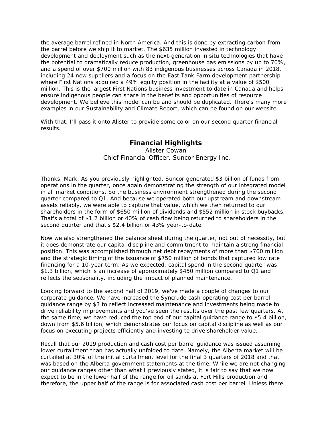the average barrel refined in North America. And this is done by extracting carbon from the barrel before we ship it to market. The \$635 million invested in technology development and deployment such as the next-generation in situ technologies that have the potential to dramatically reduce production, greenhouse gas emissions by up to 70%, and a spend of over \$700 million with 83 indigenous businesses across Canada in 2018, including 24 new suppliers and a focus on the East Tank Farm development partnership where First Nations acquired a 49% equity position in the facility at a value of \$500 million. This is the largest First Nations business investment to date in Canada and helps ensure indigenous people can share in the benefits and opportunities of resource development. We believe this model can be and should be duplicated. There's many more examples in our Sustainability and Climate Report, which can be found on our website.

With that, I'll pass it onto Alister to provide some color on our second quarter financial results.

### **Financial Highlights**

Alister Cowan *Chief Financial Officer, Suncor Energy Inc.*

Thanks, Mark. As you previously highlighted, Suncor generated \$3 billion of funds from operations in the quarter, once again demonstrating the strength of our integrated model in all market conditions. So the business environment strengthened during the second quarter compared to Q1. And because we operated both our upstream and downstream assets reliably, we were able to capture that value, which we then returned to our shareholders in the form of \$650 million of dividends and \$552 million in stock buybacks. That's a total of \$1.2 billion or 40% of cash flow being returned to shareholders in the second quarter and that's \$2.4 billion or 43% year-to-date.

Now we also strengthened the balance sheet during the quarter, not out of necessity, but it does demonstrate our capital discipline and commitment to maintain a strong financial position. This was accomplished through net debt repayments of more than \$700 million and the strategic timing of the issuance of \$750 million of bonds that captured low rate financing for a 10-year term. As we expected, capital spend in the second quarter was \$1.3 billion, which is an increase of approximately \$450 million compared to Q1 and reflects the seasonality, including the impact of planned maintenance.

Looking forward to the second half of 2019, we've made a couple of changes to our corporate guidance. We have increased the Syncrude cash operating cost per barrel guidance range by \$3 to reflect increased maintenance and investments being made to drive reliability improvements and you've seen the results over the past few quarters. At the same time, we have reduced the top end of our capital guidance range to \$5.4 billion, down from \$5.6 billion, which demonstrates our focus on capital discipline as well as our focus on executing projects efficiently and investing to drive shareholder value.

Recall that our 2019 production and cash cost per barrel guidance was issued assuming lower curtailment than has actually unfolded to date. Namely, the Alberta market will be curtailed at 30% of the initial curtailment level for the final 3 quarters of 2018 and that was based on the Alberta government statements at the time. While we are not changing our guidance ranges other than what I previously stated, it is fair to say that we now expect to be in the lower half of the range for oil sands at Fort Hills production and therefore, the upper half of the range is for associated cash cost per barrel. Unless there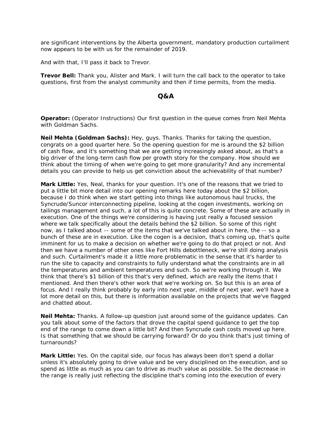are significant interventions by the Alberta government, mandatory production curtailment now appears to be with us for the remainder of 2019.

And with that, I'll pass it back to Trevor.

**Trevor Bell:** Thank you, Alister and Mark. I will turn the call back to the operator to take questions, first from the analyst community and then if time permits, from the media.

#### **Q&A**

**Operator:** (Operator Instructions) Our first question in the queue comes from Neil Mehta with Goldman Sachs.

**Neil Mehta (Goldman Sachs):** Hey, guys. Thanks. Thanks for taking the question, congrats on a good quarter here. So the opening question for me is around the \$2 billion of cash flow, and it's something that we are getting increasingly asked about, as that's a big driver of the long-term cash flow per growth story for the company. How should we think about the timing of when we're going to get more granularity? And any incremental details you can provide to help us get conviction about the achievability of that number?

**Mark Little:** Yes, Neal, thanks for your question. It's one of the reasons that we tried to put a little bit more detail into our opening remarks here today about the \$2 billion, because I do think when we start getting into things like autonomous haul trucks, the Syncrude/Suncor interconnecting pipeline, looking at the cogen investments, working on tailings management and such, a lot of this is quite concrete. Some of these are actually in execution. One of the things we're considering is having just really a focused session where we talk specifically about the details behind the \$2 billion. So some of this right now, as I talked about -- some of the items that we've talked about in here, the -- so a bunch of these are in execution. Like the cogen is a decision, that's coming up, that's quite imminent for us to make a decision on whether we're going to do that project or not. And then we have a number of other ones like Fort Hills debottleneck, we're still doing analysis and such. Curtailment's made it a little more problematic in the sense that it's harder to run the site to capacity and constraints to fully understand what the constraints are in all the temperatures and ambient temperatures and such. So we're working through it. We think that there's \$1 billion of this that's very defined, which are really the items that I mentioned. And then there's other work that we're working on. So but this is an area of focus. And I really think probably by early into next year, middle of next year, we'll have a lot more detail on this, but there is information available on the projects that we've flagged and chatted about.

**Neil Mehta:** Thanks. A follow-up question just around some of the guidance updates. Can you talk about some of the factors that drove the capital spend guidance to get the top end of the range to come down a little bit? And then Syncrude cash costs moved up here. Is that something that we should be carrying forward? Or do you think that's just timing of turnarounds?

**Mark Little:** Yes. On the capital side, our focus has always been don't spend a dollar unless it's absolutely going to drive value and be very disciplined on the execution, and so spend as little as much as you can to drive as much value as possible. So the decrease in the range is really just reflecting the discipline that's coming into the execution of every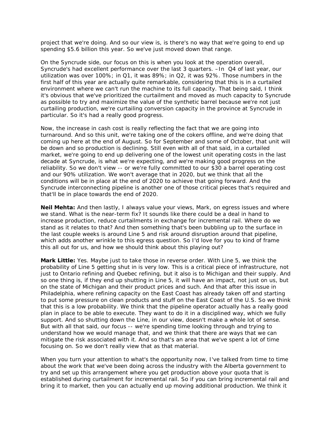project that we're doing. And so our view is, is there's no way that we're going to end up spending \$5.6 billion this year. So we've just moved down that range.

On the Syncrude side, our focus on this is when you look at the operation overall, Syncrude's had excellent performance over the last 3 quarters. –In Q4 of last year, our utilization was over 100%; in Q1, it was 89%; in Q2, it was 92%. Those numbers in the first half of this year are actually quite remarkable, considering that this is in a curtailed environment where we can't run the machine to its full capacity. That being said, I think it's obvious that we've prioritized the curtailment and moved as much capacity to Syncrude as possible to try and maximize the value of the synthetic barrel because we're not just curtailing production, we're curtailing conversion capacity in the province at Syncrude in particular. So it's had a really good progress.

Now, the increase in cash cost is really reflecting the fact that we are going into turnaround. And so this unit, we're taking one of the cokers offline, and we're doing that coming up here at the end of August. So for September and some of October, that unit will be down and so production is declining. Still even with all of that said, in a curtailed market, we're going to end up delivering one of the lowest unit operating costs in the last decade at Syncrude, is what we're expecting, and we're making good progress on the reliability. So we don't view -- or we're fully committed to our \$30 a barrel operating cost and our 90% utilization. We won't average that in 2020, but we think that all the conditions will be in place at the end of 2020 to achieve that going forward. And the Syncrude interconnecting pipeline is another one of those critical pieces that's required and that'll be in place towards the end of 2020.

**Neil Mehta:** And then lastly, I always value your views, Mark, on egress issues and where we stand. What is the near-term fix? It sounds like there could be a deal in hand to increase production, reduce curtailments in exchange for incremental rail. Where do we stand as it relates to that? And then something that's been bubbling up to the surface in the last couple weeks is around Line 5 and risk around disruption around that pipeline, which adds another wrinkle to this egress question. So I'd love for you to kind of frame this all out for us, and how we should think about this playing out?

**Mark Little:** Yes. Maybe just to take those in reverse order. With Line 5, we think the probability of Line 5 getting shut in is very low. This is a critical piece of infrastructure, not just to Ontario refining and Quebec refining, but it also is to Michigan and their supply. And so one thing is, if they end up shutting in Line 5, it will have an impact, not just on us, but on the state of Michigan and their product prices and such. And that after this issue in Philadelphia, where refining capacity on the East Coast has already taken off and starting to put some pressure on clean products and stuff on the East Coast of the U.S. So we think that this is a low probability. We think that the pipeline operator actually has a really good plan in place to be able to execute. They want to do it in a disciplined way, which we fully support. And so shutting down the Line, in our view, doesn't make a whole lot of sense. But with all that said, our focus -- we're spending time looking through and trying to understand how we would manage that, and we think that there are ways that we can mitigate the risk associated with it. And so that's an area that we've spent a lot of time focusing on. So we don't really view that as that material.

When you turn your attention to what's the opportunity now, I've talked from time to time about the work that we've been doing across the industry with the Alberta government to try and set up this arrangement where you get production above your quota that is established during curtailment for incremental rail. So if you can bring incremental rail and bring it to market, then you can actually end up moving additional production. We think it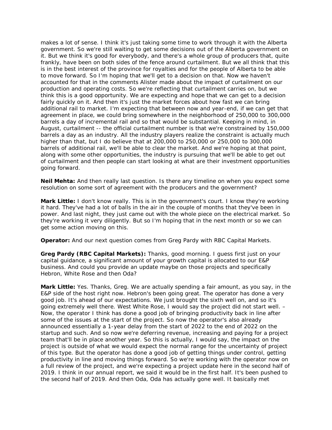makes a lot of sense. I think it's just taking some time to work through it with the Alberta government. So we're still waiting to get some decisions out of the Alberta government on it. But we think it's good for everybody, and there's a whole group of producers that, quite frankly, have been on both sides of the fence around curtailment. But we all think that this is in the best interest of the province for royalties and for the people of Alberta to be able to move forward. So I'm hoping that we'll get to a decision on that. Now we haven't accounted for that in the comments Alister made about the impact of curtailment on our production and operating costs. So we're reflecting that curtailment carries on, but we think this is a good opportunity. We are expecting and hope that we can get to a decision fairly quickly on it. And then it's just the market forces about how fast we can bring additional rail to market. I'm expecting that between now and year-end, if we can get that agreement in place, we could bring somewhere in the neighborhood of 250,000 to 300,000 barrels a day of incremental rail and so that would be substantial. Keeping in mind, in August, curtailment -- the official curtailment number is that we're constrained by 150,000 barrels a day as an industry. All the industry players realize the constraint is actually much higher than that, but I do believe that at 200,000 to 250,000 or 250,000 to 300,000 barrels of additional rail, we'll be able to clear the market. And we're hoping at that point, along with some other opportunities, the industry is pursuing that we'll be able to get out of curtailment and then people can start looking at what are their investment opportunities going forward.

**Neil Mehta:** And then really last question. Is there any timeline on when you expect some resolution on some sort of agreement with the producers and the government?

**Mark Little:** I don't know really. This is in the government's court. I know they're working it hard. They've had a lot of balls in the air in the couple of months that they've been in power. And last night, they just came out with the whole piece on the electrical market. So they're working it very diligently. But so I'm hoping that in the next month or so we can get some action moving on this.

**Operator:** And our next question comes from Greg Pardy with RBC Capital Markets.

**Greg Pardy (RBC Capital Markets):** Thanks, good morning. I guess first just on your capital guidance, a significant amount of your growth capital is allocated to our E&P business. And could you provide an update maybe on those projects and specifically Hebron, White Rose and then Oda?

**Mark Little:** Yes. Thanks, Greg. We are actually spending a fair amount, as you say, in the E&P side of the host right now. Hebron's been going great. The operator has done a very good job. It's ahead of our expectations. We just brought the sixth well on, and so it's going extremely well there. West White Rose, I would say the project did not start well. – Now, the operator I think has done a good job of bringing productivity back in line after some of the issues at the start of the project. So now the operator's also already announced essentially a 1-year delay from the start of 2022 to the end of 2022 on the startup and such. And so now we're deferring revenue, increasing and paying for a project team that'll be in place another year. So this is actually, I would say, the impact on the project is outside of what we would expect the normal range for the uncertainty of project of this type. But the operator has done a good job of getting things under control, getting productivity in line and moving things forward. So we're working with the operator now on a full review of the project, and we're expecting a project update here in the second half of 2019. I think in our annual report, we said it would be in the first half. It's been pushed to the second half of 2019. And then Oda, Oda has actually gone well. It basically met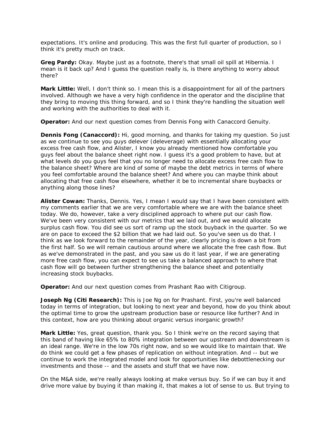expectations. It's online and producing. This was the first full quarter of production, so I think it's pretty much on track.

**Greg Pardy:** Okay. Maybe just as a footnote, there's that small oil spill at Hibernia. I mean is it back up? And I guess the question really is, is there anything to worry about there?

**Mark Little:** Well, I don't think so. I mean this is a disappointment for all of the partners involved. Although we have a very high confidence in the operator and the discipline that they bring to moving this thing forward, and so I think they're handling the situation well and working with the authorities to deal with it.

**Operator:** And our next question comes from Dennis Fong with Canaccord Genuity.

**Dennis Fong (Canaccord):** Hi, good morning, and thanks for taking my question. So just as we continue to see you guys delever (deleverage) with essentially allocating your excess free cash flow, and Alister, I know you already mentioned how comfortable you guys feel about the balance sheet right now. I guess it's a good problem to have, but at what levels do you guys feel that you no longer need to allocate excess free cash flow to the balance sheet? Where are kind of some of maybe the debt metrics in terms of where you feel comfortable around the balance sheet? And where you can maybe think about allocating that free cash flow elsewhere, whether it be to incremental share buybacks or anything along those lines?

**Alister Cowan:** Thanks, Dennis. Yes, I mean I would say that I have been consistent with my comments earlier that we are very comfortable where we are with the balance sheet today. We do, however, take a very disciplined approach to where put our cash flow. We've been very consistent with our metrics that we laid out, and we would allocate surplus cash flow. You did see us sort of ramp up the stock buyback in the quarter. So we are on pace to exceed the \$2 billion that we had laid out. So you've seen us do that. I think as we look forward to the remainder of the year, clearly pricing is down a bit from the first half. So we will remain cautious around where we allocate the free cash flow. But as we've demonstrated in the past, and you saw us do it last year, if we are generating more free cash flow, you can expect to see us take a balanced approach to where that cash flow will go between further strengthening the balance sheet and potentially increasing stock buybacks.

**Operator:** And our next question comes from Prashant Rao with Citigroup.

**Joseph Ng (Citi Research):** This is Joe Ng on for Prashant. First, you're well balanced today in terms of integration, but looking to next year and beyond, how do you think about the optimal time to grow the upstream production base or resource like further? And in this context, how are you thinking about organic versus inorganic growth?

**Mark Little:** Yes, great question, thank you. So I think we're on the record saying that this band of having like 65% to 80% integration between our upstream and downstream is an ideal range. We're in the low 70s right now, and so we would like to maintain that. We do think we could get a few phases of replication on without integration. And -- but we continue to work the integrated model and look for opportunities like debottlenecking our investments and those -- and the assets and stuff that we have now.

On the M&A side, we're really always looking at make versus buy. So if we can buy it and drive more value by buying it than making it, that makes a lot of sense to us. But trying to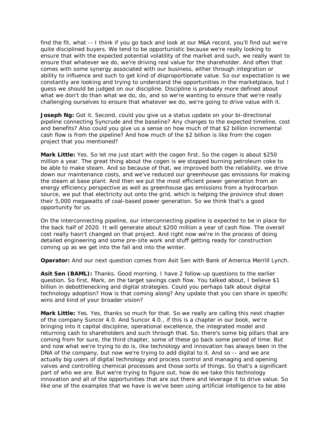find the fit, what -- I think if you go back and look at our M&A record, you'll find out we're quite disciplined buyers. We tend to be opportunistic because we're really looking to ensure that with the expected potential volatility of the market and such, we really want to ensure that whatever we do, we're driving real value for the shareholder. And often that comes with some synergy associated with our business, either through integration or ability to influence and such to get kind of disproportionate value. So our expectation is we constantly are looking and trying to understand the opportunities in the marketplace, but I guess we should be judged on our discipline. Discipline is probably more defined about what we don't do than what we do, do, and so we're wanting to ensure that we're really challenging ourselves to ensure that whatever we do, we're going to drive value with it.

**Joseph Ng:** Got it. Second, could you give us a status update on your bi-directional pipeline connecting Syncrude and the baseline? Any changes to the expected timeline, cost and benefits? Also could you give us a sense on how much of that \$2 billion incremental cash flow is from the pipeline? And how much of the \$2 billion is like from the cogen project that you mentioned?

**Mark Little:** Yes. So let me just start with the cogen first. So the cogen is about \$250 million a year. The great thing about the cogen is we stopped burning petroleum coke to be able to make steam. And so because of that, we improved both the reliability, we drive down our maintenance costs, and we've reduced our greenhouse gas emissions for making the steam at base plant. And then we put the most efficient power generation from an energy efficiency perspective as well as greenhouse gas emissions from a hydrocarbon source, we put that electricity out onto the grid, which is helping the province shut down their 5,000 megawatts of coal-based power generation. So we think that's a good opportunity for us.

On the interconnecting pipeline, our interconnecting pipeline is expected to be in place for the back half of 2020. It will generate about \$200 million a year of cash flow. The overall cost really hasn't changed on that project. And right now we're in the process of doing detailed engineering and some pre-site work and stuff getting ready for construction coming up as we get into the fall and into the winter.

**Operator:** And our next question comes from Asit Sen with Bank of America Merrill Lynch.

**Asit Sen (BAML):** Thanks. Good morning. I have 2 follow-up questions to the earlier question. So first, Mark, on the target savings cash flow. You talked about, I believe \$1 billion in debottlenecking and digital strategies. Could you perhaps talk about digital technology adoption? How is that coming along? Any update that you can share in specific wins and kind of your broader vision?

**Mark Little:** Yes. Yes, thanks so much for that. So we really are calling this next chapter of the company Suncor 4.0. And Suncor 4.0., if this is a chapter in our book, we're bringing into it capital discipline, operational excellence, the integrated model and returning cash to shareholders and such through that. So, there's some big pillars that are coming from for sure, the third chapter, some of these go back some period of time. But and now what we're trying to do is, like technology and innovation has always been in the DNA of the company, but now we're trying to add digital to it. And so -- and we are actually big users of digital technology and process control and managing and opening valves and controlling chemical processes and those sorts of things. So that's a significant part of who we are. But we're trying to figure out, how do we take this technology innovation and all of the opportunities that are out there and leverage it to drive value. So like one of the examples that we have is we've been using artificial intelligence to be able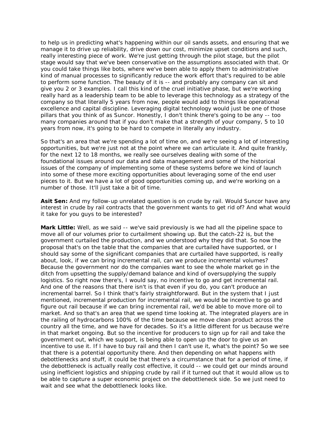to help us in predicting what's happening within our oil sands assets, and ensuring that we manage it to drive up reliability, drive down our cost, minimize upset conditions and such, really interesting piece of work. We're just getting through the pilot stage, but the pilot stage would say that we've been conservative on the assumptions associated with that. Or you could take things like bots, where we've been able to apply them to administrative kind of manual processes to significantly reduce the work effort that's required to be able to perform some function. The beauty of it is -- and probably any company can sit and give you 2 or 3 examples. I call this kind of the cruel initiative phase, but we're working really hard as a leadership team to be able to leverage this technology as a strategy of the company so that literally 5 years from now, people would add to things like operational excellence and capital discipline. Leveraging digital technology would just be one of those pillars that you think of as Suncor. Honestly, I don't think there's going to be any -- too many companies around that if you don't make that a strength of your company, 5 to 10 years from now, it's going to be hard to compete in literally any industry.

So that's an area that we're spending a lot of time on, and we're seeing a lot of interesting opportunities, but we're just not at the point where we can articulate it. And quite frankly, for the next 12 to 18 months, we really see ourselves dealing with some of the foundational issues around our data and data management and some of the historical issues of the company of implementing some of these systems before we kind of launch into some of these more exciting opportunities about leveraging some of the end user pieces to it. But we have a lot of good opportunities coming up, and we're working on a number of those. It'll just take a bit of time.

**Asit Sen:** And my follow-up unrelated question is on crude by rail. Would Suncor have any interest in crude by rail contracts that the government wants to get rid of? And what would it take for you guys to be interested?

**Mark Little:** Well, as we said -- we've said previously is we had all the pipeline space to move all of our volumes prior to curtailment showing up. But the catch-22 is, but the government curtailed the production, and we understood why they did that. So now the proposal that's on the table that the companies that are curtailed have supported, or I should say some of the significant companies that are curtailed have supported, is really about, look, if we can bring incremental rail, can we produce incremental volumes? Because the government nor do the companies want to see the whole market go in the ditch from upsetting the supply/demand balance and kind of oversupplying the supply logistics. So right now there's, I would say, no incentive to go and get incremental rail. And one of the reasons that there isn't is that even if you do, you can't produce an incremental barrel. So I think that's fairly straightforward. But in the system that I just mentioned, incremental production for incremental rail, we would be incentive to go and figure out rail because if we can bring incremental rail, we'd be able to move more oil to market. And so that's an area that we spend time looking at. The integrated players are in the railing of hydrocarbons 100% of the time because we move clean product across the country all the time, and we have for decades. So it's a little different for us because we're in that market ongoing. But so the incentive for producers to sign up for rail and take the government out, which we support, is being able to open up the door to give us an incentive to use it. If I have to buy rail and then I can't use it, what's the point? So we see that there is a potential opportunity there. And then depending on what happens with debottlenecks and stuff, it could be that there's a circumstance that for a period of time, if the debottleneck is actually really cost effective, it could -- we could get our minds around using inefficient logistics and shipping crude by rail if it turned out that it would allow us to be able to capture a super economic project on the debottleneck side. So we just need to wait and see what the debottleneck looks like.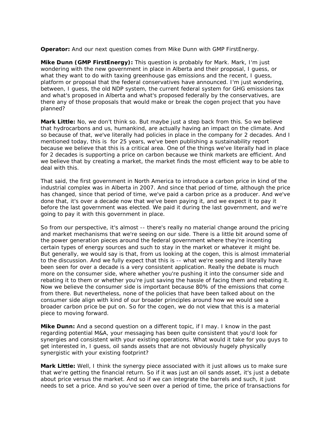**Operator:** And our next question comes from Mike Dunn with GMP FirstEnergy.

**Mike Dunn (GMP FirstEnergy):** This question is probably for Mark. Mark, I'm just wondering with the new government in place in Alberta and their proposal, I guess, or what they want to do with taxing greenhouse gas emissions and the recent, I guess, platform or proposal that the federal conservatives have announced. I'm just wondering, between, I guess, the old NDP system, the current federal system for GHG emissions tax and what's proposed in Alberta and what's proposed federally by the conservatives, are there any of those proposals that would make or break the cogen project that you have planned?

**Mark Little:** No, we don't think so. But maybe just a step back from this. So we believe that hydrocarbons and us, humankind, are actually having an impact on the climate. And so because of that, we've literally had policies in place in the company for 2 decades. And I mentioned today, this is for 25 years, we've been publishing a sustainability report because we believe that this is a critical area. One of the things we've literally had in place for 2 decades is supporting a price on carbon because we think markets are efficient. And we believe that by creating a market, the market finds the most efficient way to be able to deal with this.

That said, the first government in North America to introduce a carbon price in kind of the industrial complex was in Alberta in 2007. And since that period of time, although the price has changed, since that period of time, we've paid a carbon price as a producer. And we've done that, it's over a decade now that we've been paying it, and we expect it to pay it before the last government was elected. We paid it during the last government, and we're going to pay it with this government in place.

So from our perspective, it's almost -- there's really no material change around the pricing and market mechanisms that we're seeing on our side. There is a little bit around some of the power generation pieces around the federal government where they're incenting certain types of energy sources and such to stay in the market or whatever it might be. But generally, we would say is that, from us looking at the cogen, this is almost immaterial to the discussion. And we fully expect that this is -- what we're seeing and literally have been seen for over a decade is a very consistent application. Really the debate is much more on the consumer side, where whether you're pushing it into the consumer side and rebating it to them or whether you're just saving the hassle of facing them and rebating it. Now we believe the consumer side is important because 80% of the emissions that come from there. But nevertheless, none of the policies that have been talked about on the consumer side align with kind of our broader principles around how we would see a broader carbon price be put on. So for the cogen, we do not view that this is a material piece to moving forward.

**Mike Dunn:** And a second question on a different topic, if I may. I know in the past regarding potential M&A, your messaging has been quite consistent that you'd look for synergies and consistent with your existing operations. What would it take for you guys to get interested in, I guess, oil sands assets that are not obviously hugely physically synergistic with your existing footprint?

**Mark Little:** Well, I think the synergy piece associated with it just allows us to make sure that we're getting the financial return. So if it was just an oil sands asset, it's just a debate about price versus the market. And so if we can integrate the barrels and such, it just needs to set a price. And so you've seen over a period of time, the price of transactions for